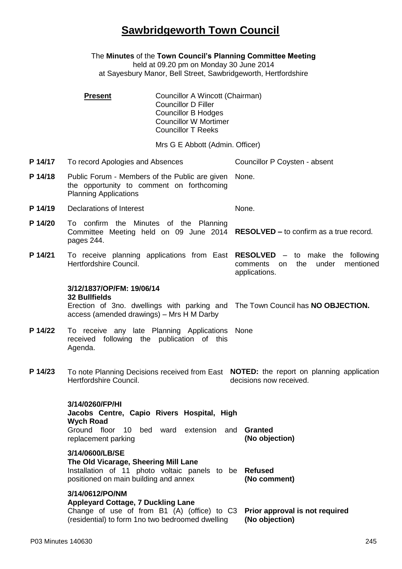## **Sawbridgeworth Town Council**

The **Minutes** of the **Town Council's Planning Committee Meeting** held at 09.20 pm on Monday 30 June 2014 at Sayesbury Manor, Bell Street, Sawbridgeworth, Hertfordshire **Present Councillor A Wincott (Chairman)** Councillor D Filler Councillor B Hodges Councillor W Mortimer Councillor T Reeks Mrs G E Abbott (Admin. Officer) **P 14/17** To record Apologies and Absences Councillor P Coysten - absent **P 14/18** Public Forum - Members of the Public are given the opportunity to comment on forthcoming Planning Applications None. **P 14/19** Declarations of Interest None. **P 14/20** To confirm the Minutes of the Planning Committee Meeting held on 09 June 2014 **RESOLVED –** to confirm as a true record. pages 244. **P 14/21** To receive planning applications from East **RESOLVED** – to make the following Hertfordshire Council. comments on the under mentioned applications. **3/12/1837/OP/FM: 19/06/14 32 Bullfields** Erection of 3no. dwellings with parking and The Town Council has **NO OBJECTION.** access (amended drawings) – Mrs H M Darby P 14/22 To receive any late Planning Applications None received following the publication of this Agenda. **P 14/23** To note Planning Decisions received from East **NOTED:** the report on planning application Hertfordshire Council. decisions now received. **3/14/0260/FP/HI Jacobs Centre, Capio Rivers Hospital, High Wych Road** Ground floor 10 bed ward extension and **Granted** replacement parking **(No objection) 3/14/0600/LB/SE The Old Vicarage, Sheering Mill Lane** Installation of 11 photo voltaic panels to be **Refused** positioned on main building and annex **(No comment) 3/14/0612/PO/NM Appleyard Cottage, 7 Duckling Lane** Change of use of from B1 (A) (office) to C3 **Prior approval is not required** (residential) to form 1no two bedroomed dwelling **(No objection)**